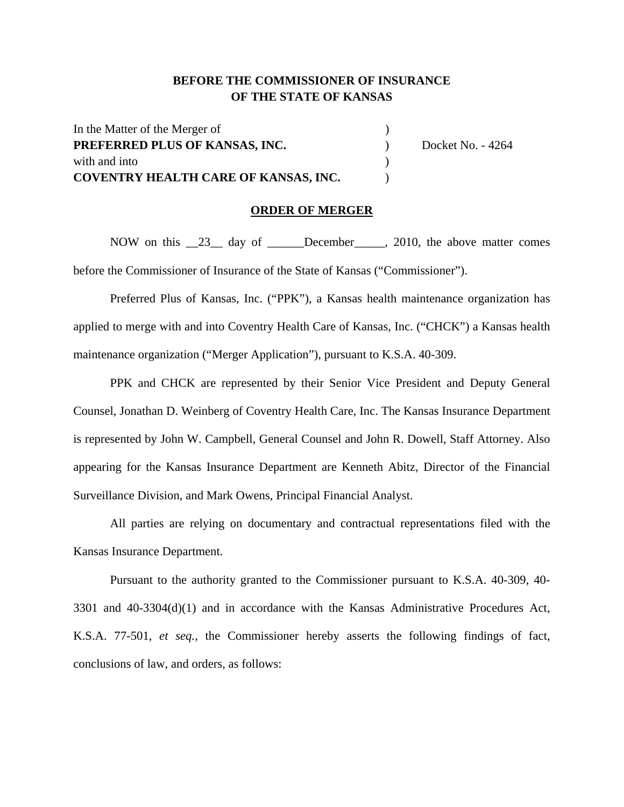## **BEFORE THE COMMISSIONER OF INSURANCE OF THE STATE OF KANSAS**

| In the Matter of the Merger of              |                   |
|---------------------------------------------|-------------------|
| PREFERRED PLUS OF KANSAS, INC.              | Docket No. - 4264 |
| with and into                               |                   |
| <b>COVENTRY HEALTH CARE OF KANSAS, INC.</b> |                   |

### **ORDER OF MERGER**

NOW on this 23 day of December 2010, the above matter comes before the Commissioner of Insurance of the State of Kansas ("Commissioner").

Preferred Plus of Kansas, Inc. ("PPK"), a Kansas health maintenance organization has applied to merge with and into Coventry Health Care of Kansas, Inc. ("CHCK") a Kansas health maintenance organization ("Merger Application"), pursuant to K.S.A. 40-309.

PPK and CHCK are represented by their Senior Vice President and Deputy General Counsel, Jonathan D. Weinberg of Coventry Health Care, Inc. The Kansas Insurance Department is represented by John W. Campbell, General Counsel and John R. Dowell, Staff Attorney. Also appearing for the Kansas Insurance Department are Kenneth Abitz, Director of the Financial Surveillance Division, and Mark Owens, Principal Financial Analyst.

All parties are relying on documentary and contractual representations filed with the Kansas Insurance Department.

Pursuant to the authority granted to the Commissioner pursuant to K.S.A. 40-309, 40- 3301 and 40-3304(d)(1) and in accordance with the Kansas Administrative Procedures Act, K.S.A. 77-501, *et seq.,* the Commissioner hereby asserts the following findings of fact, conclusions of law, and orders, as follows: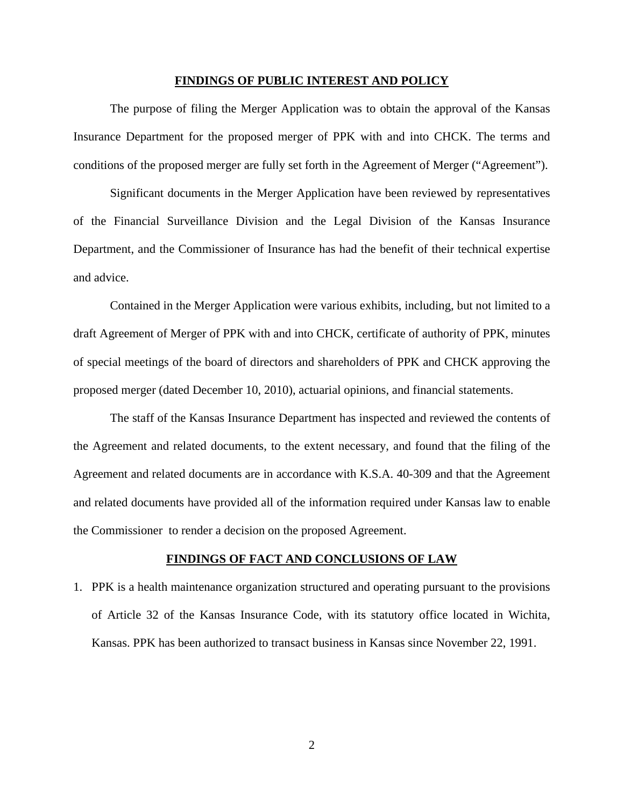#### **FINDINGS OF PUBLIC INTEREST AND POLICY**

The purpose of filing the Merger Application was to obtain the approval of the Kansas Insurance Department for the proposed merger of PPK with and into CHCK. The terms and conditions of the proposed merger are fully set forth in the Agreement of Merger ("Agreement").

Significant documents in the Merger Application have been reviewed by representatives of the Financial Surveillance Division and the Legal Division of the Kansas Insurance Department, and the Commissioner of Insurance has had the benefit of their technical expertise and advice.

Contained in the Merger Application were various exhibits, including, but not limited to a draft Agreement of Merger of PPK with and into CHCK, certificate of authority of PPK, minutes of special meetings of the board of directors and shareholders of PPK and CHCK approving the proposed merger (dated December 10, 2010), actuarial opinions, and financial statements.

The staff of the Kansas Insurance Department has inspected and reviewed the contents of the Agreement and related documents, to the extent necessary, and found that the filing of the Agreement and related documents are in accordance with K.S.A. 40-309 and that the Agreement and related documents have provided all of the information required under Kansas law to enable the Commissioner to render a decision on the proposed Agreement.

### **FINDINGS OF FACT AND CONCLUSIONS OF LAW**

1. PPK is a health maintenance organization structured and operating pursuant to the provisions of Article 32 of the Kansas Insurance Code, with its statutory office located in Wichita, Kansas. PPK has been authorized to transact business in Kansas since November 22, 1991.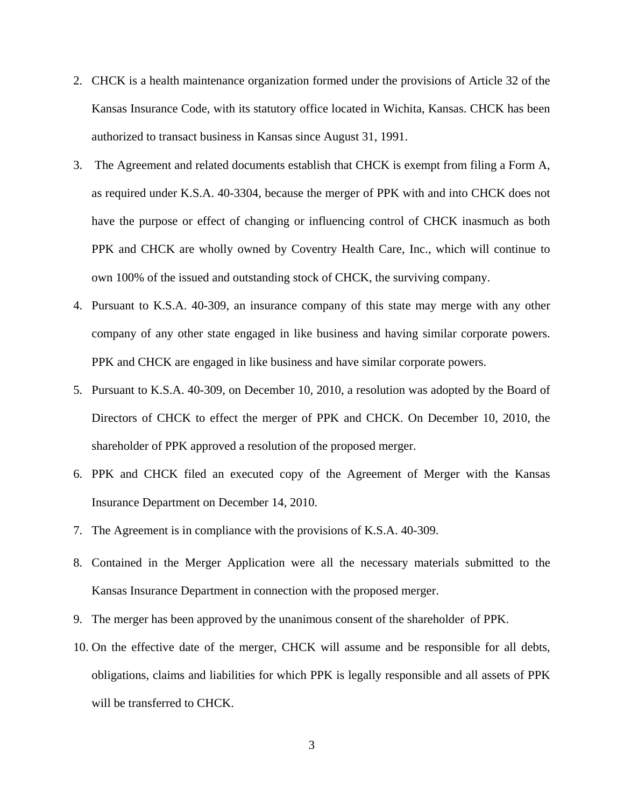- 2. CHCK is a health maintenance organization formed under the provisions of Article 32 of the Kansas Insurance Code, with its statutory office located in Wichita, Kansas. CHCK has been authorized to transact business in Kansas since August 31, 1991.
- 3. The Agreement and related documents establish that CHCK is exempt from filing a Form A, as required under K.S.A. 40-3304, because the merger of PPK with and into CHCK does not have the purpose or effect of changing or influencing control of CHCK inasmuch as both PPK and CHCK are wholly owned by Coventry Health Care, Inc., which will continue to own 100% of the issued and outstanding stock of CHCK, the surviving company.
- 4. Pursuant to K.S.A. 40-309, an insurance company of this state may merge with any other company of any other state engaged in like business and having similar corporate powers. PPK and CHCK are engaged in like business and have similar corporate powers.
- 5. Pursuant to K.S.A. 40-309, on December 10, 2010, a resolution was adopted by the Board of Directors of CHCK to effect the merger of PPK and CHCK. On December 10, 2010, the shareholder of PPK approved a resolution of the proposed merger.
- 6. PPK and CHCK filed an executed copy of the Agreement of Merger with the Kansas Insurance Department on December 14, 2010.
- 7. The Agreement is in compliance with the provisions of K.S.A. 40-309.
- 8. Contained in the Merger Application were all the necessary materials submitted to the Kansas Insurance Department in connection with the proposed merger.
- 9. The merger has been approved by the unanimous consent of the shareholder of PPK.
- 10. On the effective date of the merger, CHCK will assume and be responsible for all debts, obligations, claims and liabilities for which PPK is legally responsible and all assets of PPK will be transferred to CHCK.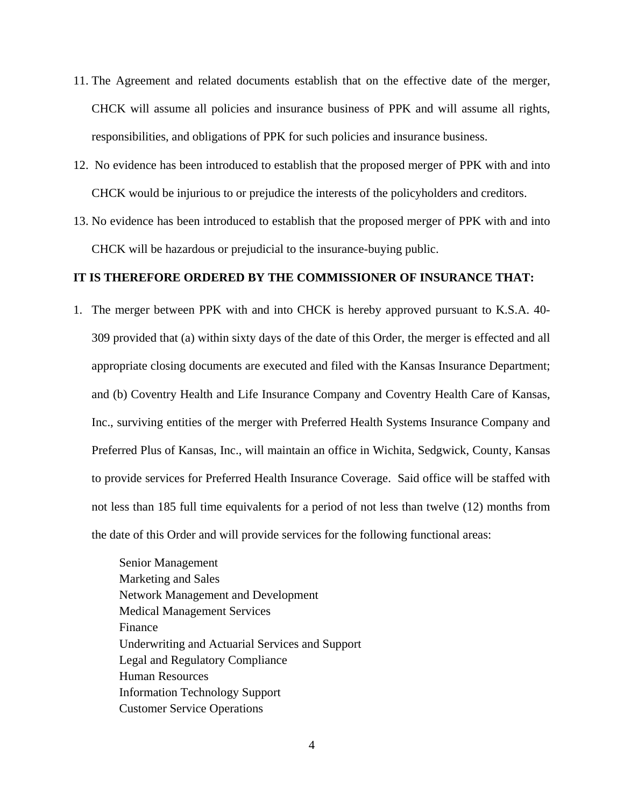- 11. The Agreement and related documents establish that on the effective date of the merger, CHCK will assume all policies and insurance business of PPK and will assume all rights, responsibilities, and obligations of PPK for such policies and insurance business.
- 12. No evidence has been introduced to establish that the proposed merger of PPK with and into CHCK would be injurious to or prejudice the interests of the policyholders and creditors.
- 13. No evidence has been introduced to establish that the proposed merger of PPK with and into CHCK will be hazardous or prejudicial to the insurance-buying public.

## **IT IS THEREFORE ORDERED BY THE COMMISSIONER OF INSURANCE THAT:**

1. The merger between PPK with and into CHCK is hereby approved pursuant to K.S.A. 40- 309 provided that (a) within sixty days of the date of this Order, the merger is effected and all appropriate closing documents are executed and filed with the Kansas Insurance Department; and (b) Coventry Health and Life Insurance Company and Coventry Health Care of Kansas, Inc., surviving entities of the merger with Preferred Health Systems Insurance Company and Preferred Plus of Kansas, Inc., will maintain an office in Wichita, Sedgwick, County, Kansas to provide services for Preferred Health Insurance Coverage. Said office will be staffed with not less than 185 full time equivalents for a period of not less than twelve (12) months from the date of this Order and will provide services for the following functional areas:

Senior Management Marketing and Sales Network Management and Development Medical Management Services Finance Underwriting and Actuarial Services and Support Legal and Regulatory Compliance Human Resources Information Technology Support Customer Service Operations

4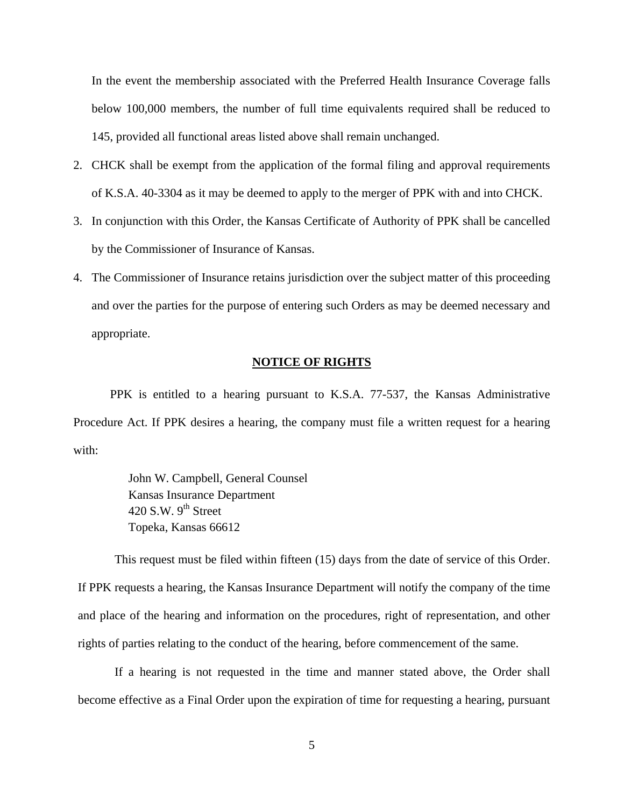In the event the membership associated with the Preferred Health Insurance Coverage falls below 100,000 members, the number of full time equivalents required shall be reduced to 145, provided all functional areas listed above shall remain unchanged.

- 2. CHCK shall be exempt from the application of the formal filing and approval requirements of K.S.A. 40-3304 as it may be deemed to apply to the merger of PPK with and into CHCK.
- 3. In conjunction with this Order, the Kansas Certificate of Authority of PPK shall be cancelled by the Commissioner of Insurance of Kansas.
- 4. The Commissioner of Insurance retains jurisdiction over the subject matter of this proceeding and over the parties for the purpose of entering such Orders as may be deemed necessary and appropriate.

## **NOTICE OF RIGHTS**

PPK is entitled to a hearing pursuant to K.S.A. 77-537, the Kansas Administrative Procedure Act. If PPK desires a hearing, the company must file a written request for a hearing with:

> John W. Campbell, General Counsel Kansas Insurance Department 420 S.W.  $9^{th}$  Street Topeka, Kansas 66612

This request must be filed within fifteen (15) days from the date of service of this Order. If PPK requests a hearing, the Kansas Insurance Department will notify the company of the time and place of the hearing and information on the procedures, right of representation, and other rights of parties relating to the conduct of the hearing, before commencement of the same.

If a hearing is not requested in the time and manner stated above, the Order shall become effective as a Final Order upon the expiration of time for requesting a hearing, pursuant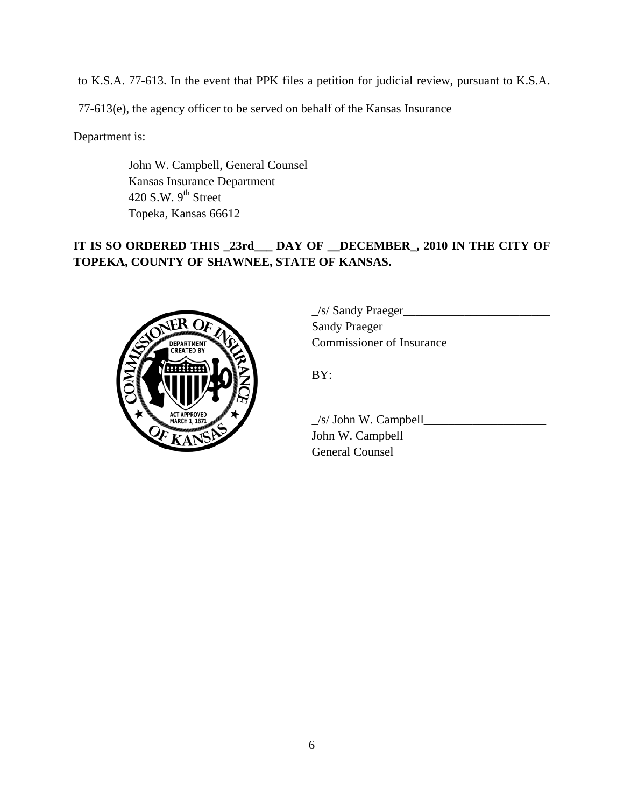to K.S.A. 77-613. In the event that PPK files a petition for judicial review, pursuant to K.S.A.

77-613(e), the agency officer to be served on behalf of the Kansas Insurance

Department is:

 John W. Campbell, General Counsel Kansas Insurance Department 420 S.W.  $9<sup>th</sup>$  Street Topeka, Kansas 66612

# **IT IS SO ORDERED THIS \_23rd\_\_\_ DAY OF \_\_DECEMBER\_, 2010 IN THE CITY OF TOPEKA, COUNTY OF SHAWNEE, STATE OF KANSAS.**



 $\angle$ s/ Sandy Praeger $\angle$  Sandy Praeger COMMISSIONER COMMISSIONER OF Insurance

 $\angle$ s/ John W. Campbell $\angle$  John W. Campbell General Counsel